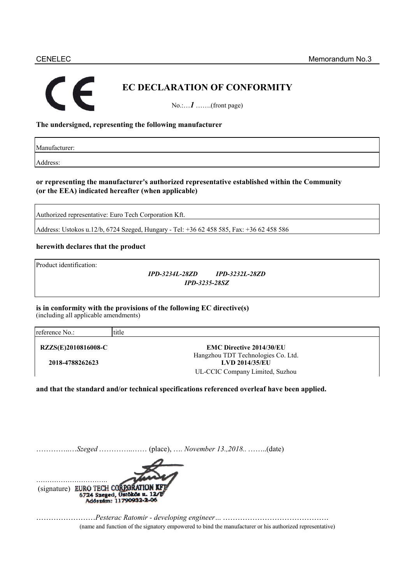# F

# **EC DECLARATION OF CONFORMITY**

No.:…*1* …….(front page)

#### **The undersigned, representing the following manufacturer**

Manufacturer:

Address:

#### **or representing the manufacturer's authorized representative established within the Community (or the EEA) indicated hereafter (when applicable)**

Authorized representative: Euro Tech Corporation Kft.

Address: Ustokos u.12/b, 6724 Szeged, Hungary - Tel: +36 62 458 585, Fax: +36 62 458 586

#### **herewith declares that the product**

Product identification:

*IPD-3234L-28ZD IPD-3232L-28ZD IPD-3235-28SZ*

### **is in conformity with the provisions of the following EC directive(s)**

(including all applicable amendments)

| reference No.:             | title                              |  |
|----------------------------|------------------------------------|--|
| <b>RZZS(E)2010816008-C</b> | <b>EMC Directive 2014/30/EU</b>    |  |
|                            | Hangzhou TDT Technologies Co. Ltd. |  |
| 2018-4788262623            | <b>LVD 2014/35/EU</b>              |  |
|                            | UL-CCIC Company Limited, Suzhou    |  |

**and that the standard and/or technical specifications referenced overleaf have been applied.**

|--|--|--|--|--|--|



……………………*Pesterac Ratomir - developing engineer…* ……………………………………. (name and function of the signatory empowered to bind the manufacturer or his authorized representative) (name and function of the signatory empowered to bind the manufacturer or his authorized